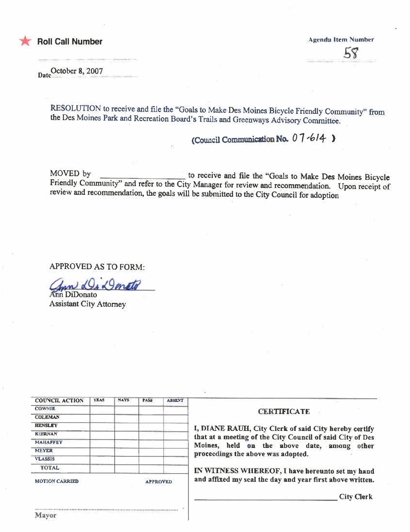

#### **Roll Call Number**

**Agenda Item Number**  $58$ 

Date October 8, 2007

RESOLUTION to receive and file the "Goals to Make Des Moines Bicycle Friendly Community" from the Des Moines Park and Recreation Board's Trails and Greenways Advisory Committee.

#### (Council Communication No. 07-614)

MOVED by to receive and file the "Goals to Make Des Moines Bicycle Friendly Community" and refer to the City Manager for review and recommendation. Upon receipt of review and recommendation, the goals will be submitted to the City Council for adoption

**APPROVED AS TO FORM:** 

geneto

Ann DiDonato **Assistant City Attorney** 

| <b>COUNCIL ACTION</b>          | <b>YEAS</b> | <b>NAYS</b> | <b>PASS</b>                                 | <b>ABSENT</b>                                         |                                                           |
|--------------------------------|-------------|-------------|---------------------------------------------|-------------------------------------------------------|-----------------------------------------------------------|
| <b>COWNIE</b>                  |             |             | <b>CERTIFICATE</b>                          |                                                       |                                                           |
| <b>COLEMAN</b>                 |             |             |                                             |                                                       |                                                           |
| <b>HENSLEY</b>                 |             |             |                                             | I, DIANE RAUH, City Clerk of said City hereby certify |                                                           |
| <b>KIERNAN</b>                 |             |             |                                             |                                                       | that at a meeting of the City Council of said City of Des |
| <b>MAHAFFEY</b>                |             |             | Moines, held on the above date, among other |                                                       |                                                           |
| <b>MEYER</b><br><b>VLASSIS</b> |             |             |                                             | proceedings the above was adopted.                    |                                                           |
|                                |             |             |                                             |                                                       |                                                           |
| <b>TOTAL</b>                   |             |             |                                             |                                                       | IN WITNESS WHEREOF, I have hereunto set my hand           |
| <b>MOTION CARRIED</b>          |             |             | <b>APPROVED</b>                             |                                                       | and affixed my seal the day and year first above written. |
|                                |             |             |                                             |                                                       | <b>City Clerk</b>                                         |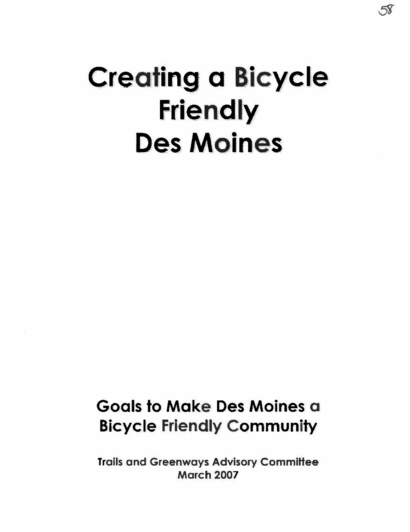## Creating a Bicycle **Friendly** Des Moines

58

### Goals to Make Des Moines a Bicycle Friendly Community

Trails and Greenways Advisory Committee March 2007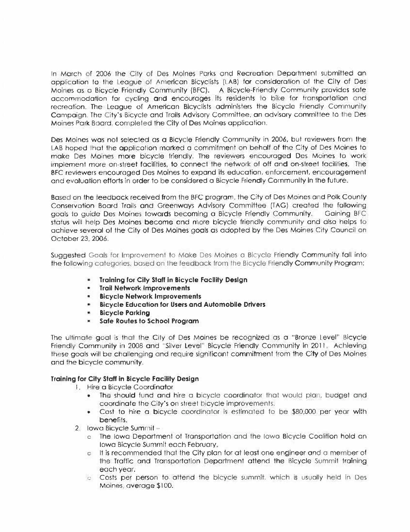In March of 2006 the City of Des Moines Parks and Recreation Department submitted an application to the League of American Bicyclists (LAB) for consideration of the City of Des-Moines as a Bicycle Friendly Community (BFC). A Bicycle-Friendly Community provides sate accommodation for cycling and encourages its residents to bike for transportation and recreation. The League of American Bicyclists administers the Bicycle Friendly Community Campaign. The City's Bicycle and Trails Advisory Committee, an advisory committee to the Des-Moines Park Board, completed the City of Des Moines application.

Des Moines was not selected as a Bicycle Friendly Community in 2006, but reviewers from the LAB hoped that the application marked a commitment on behalf of the City of Des Moines to make Des Moines more bicycle friendly. The reviewers encouraged Des Moines to work implement more on-street facilities, to connect the network of off and on-street facilities. The BFC reviewers encouraged Des Moines to expand its education, enforcement, encouragement and evaluation efforts in order to be considered a Bicycle Friendly Community in the future.

Based on the feedback received from the BFC program, the City of Des Moines and Polk County Conservation Board Trails and Greenways Advisory Committee (TAG) created the following goals to quide Des Moines towards becoming a Bicycle Friendly Community. Gaining BFC status will help Des Moines become and more bicycle friendly community and also helps to achieve several of the City of Des Moines goals as adopted by the Des Moines City Council on October 23, 2006.

Suggested Goals for Improvement to Make Des Moines a Bicycle Friendly Community fall into the following categories, based on the feedback from the Bicycle Friendly Community Program:

- Training for City Staff in Bicycle Facility Design
- · Trail Network Improvements
- **-** Bicycle Network Improvements
- **Bicycle Education for Users and Automobile Drivers**
- **Bicycle Parking**
- Safe Routes to School Program  $\blacksquare$

The ultimate goal is that the City of Des Moines be recognized as a "Bronze Level" Bicycle Friendly Community in 2008 and "Silver Level" Bicycle Friendly Community in 2011. Achieving these goals will be challenging and require significant commitment from the City of Des Moines and the bicycle community.

#### Training for City Staff in Bicycle Facility Design

- 1. Hire a Bicycle Coordinator
	- The should fund and hire a bicycle coordinator that would plan, budget and coordinate the City's on street bicycle improvements.
	- Cost to hire a bicycle coordinator is estimated to be \$80,000 per year with benefits.
- 2. Iowa Bicycle Summit
	- c The lowg Department of Transportation and the lowg Bicycle Coalition hold an Iowa Bicycle Summit each February.
	- It is recommended that the City plan for at least one endineer and a member of  $\mathbf{C}$ the Traffic and Transportation Department attend the Bicycle Summit training each year.
	- c. Costs per person to attend the bicycle summit, which is usually held in Des-Moines, average \$100.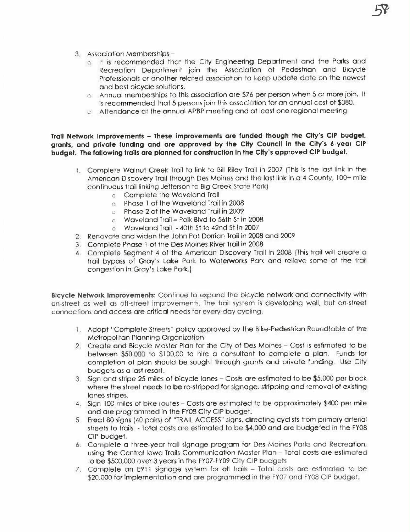- 3. Association Memberships
	- o. It is recommended that the City Engineering Department and the Parks and Recreation Department join the Association of Pedestrian and Bicycle Professionals or another related association to keep update date on the newest and best bicycle solutions.
	- c. Annual memberships to this association are \$76 per person when 5 or more join. It is recommended that 5 persons join this association for an annual cost of \$380.
	- o Affendance at the annual APBP meeting and at least one regional meeting

Trail Network Improvements - These improvements are funded though the City's CIP budget, grants, and private funding and are approved by the City Council in the City's 6-year CIP budget. The following trails are planned for construction in the City's approved CIP budget.

- 1. Complete Walnut Creek Trail to link to Bill Riley Trail in 2007 (This is the last link in the American Discovery Trail through Des Moines and the last link in a 4 County, 100+ mile continuous trail linking Jefferson to Big Creek State Park)
	- o Complete the Waveland Trail
	- o Phase 1 of the Waveland Trail in 2008
	- o Phase 2 of the Waveland Trail in 2009
	- o Waveland Trail Polk Blvd to 56th St in 2008
	- o Waveland Trail 40th St to 42nd St in 2007
- 2. Renovate and widen the John Pat Doman Trail in 2008 and 2009
- 3. Complete Phase 1 of the Des Moines River Trail in 2008
- 4. Complete Seament 4 of the American Discovery Trail in 2008 (This trail will create a trail bypass of Gray's Lake Park to Waterworks Park and relieve some of the trail congestion in Gray's Lake Park.)

Bicycle Network Improvements: Continue to expand the bicycle network and connectivity with on-street as well as off-street improvements. The trail system is developing well, but on-street connections and access are critical needs for every-day cycling.

- 1. Adopt "Complete Streets" policy approved by the Bike-Pedestrian Roundtable of the Metropolitan Planning Organization
- 2. Create and Bicycle Master Plan for the City of Des Moines Cost is estimated to be between \$50,000 to \$100,00 to hire a consultant to complete a plan. Funds for completion of plan should be sought through grants and private funding. Use City budgets as a last resort.
- 3. Sign and stripe 25 miles of bicycle lanes Costs are estimated to be \$5,000 per block where the street needs to be re-stripped for signage, stripping and removal of existing lanes stripes.
- 4. Sign 100 miles of bike routes Costs are estimated to be approximately \$400 per mile and are programmed in the FY08 City CIP budget.
- 5. Erect 80 signs (40 pairs) of "TRAIL ACCESS" signs, directing cyclists from primary arterial streets to trails - Total costs are estimated to be \$4,000 and are budgeted in the FY08 CIP budget.
- 6. Complete a three-year trail signage program for Des Moines Parks and Recreation, using the Central lowa Trails Communication Master Plan - Total costs are estimated to be \$500,000 over 3 years in the FY07-FY09 City CIP budgets
- 7. Complete an E911 signage system for all trails Total costs are estimated to be \$20,000 for implementation and are programmed in the FY07 and FY08 CIP budget.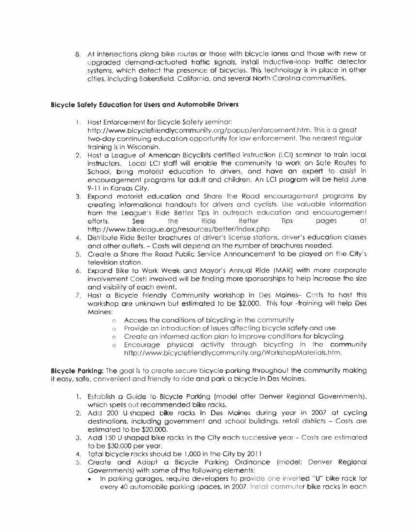8. At intersections along bike routes or those with bicycle lanes and those with new or uparaded demand-actuated traffic signals, install Inductive-loop traffic detector systems, which detect the presence of bicycles. This technology is in place in other cities, including Bakersfield, California, and several North Carolina communities.

#### **Bicycle Safety Education for Users and Automobile Drivers**

- 1. Host Enforcement for Bicycle Safety seminar: http://www.bicyclefriendlycommunity.org/popup/enforcement.htm. This is a great two-day continuing education opportunity for law enforcement. The nearest regular training is in Wisconsin.
- 2. Host a League of American Bicyclists certified instruction (LCI) seminar to train local instructors. Local LCI staff will enable the community to work on Safe Routes to School, bring motorist education to drivers, and have an expert to assist in encouragement programs for adult and children. An LCI program will be held June 9-11 in Kansas City.
- 3. Expand motorist education and Share the Road encouragement programs by creating informational handouts for drivers and cyclists. Use valuable information from the League's Ride Better Tips in outreach education and encouragement efforts. See the **Ride Better** Tips pages  $\alpha$ http://www.bikeleague.org/resources/better/index.php
- 4. Distribute Ride Better brochures at driver's license stations, driver's education classes and other outlets. - Costs will depend on the number of brochures needed.
- 5. Create a Share the Road Public Service Announcement to be played on the City's television station.
- 6. Expand Bike to Work Week and Mayor's Annual Ride (MAR) with more corporate involvement Costs involved will be finding more sponsorships to help increase the size and visibility of each event.
- 7. Host a Bicycle Friendly Community workshop in Des Maines- Costs to host this workshop are unknown but estimated to be \$2,000. This four -fraining will help Des Moines:
	- o Access the conditions of bicycling in the community
	- o Provide an introduction of issues affecting bicycle safety and use
	- o Create an informed action plan to improve conditions for bicycling
	- 6 Encourage physical activity through bicycling in the community http://www.bicyclefriendlycommunity.org/WorkshopMaterials.htm.

Bicycle Parking: The goal is to create secure bicycle parking throughout the community making it easy, safe, convenient and friendly to ride and park a bicycle in Des Moines.

- 1. Establish a Guide to Bicycle Parking (model after Denver Regional Governments), which spells out recommended bike racks.
- 2. Add 200 U-shaped bike racks in Des Moines during year in 2007 at cycling destinations, including government and school buildings, retail districts - Costs are estimated to be \$20,000.
- 3. Add 150 U shaped bike racks in the City each successive year Costs are estimated to be \$30,000 per year.
- 4. Total bicycle racks should be 1,000 in the City by 2011.
- 5. Create and Adopt a Bicycle Parking Ordinance (model: Denver Regional Governments) with some of the following elements:
	- . In parking garages, require developers to provide one inverted "U" bike rack for every 40 automobile parking spaces. In 2007, install commuter bike racks in each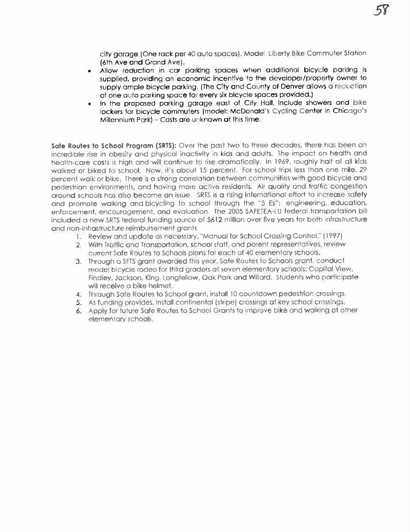city garage (One rack per 40 auto spaces). Model: Liberly Bike Commuter Station (6th Ave and Grand Ave).

- Allow reduction in car parking spaces when additional bicycle parking is supplied, providing an economic incentive to the developer/property owner to supply ample bicycle parking. (The City and County of Denver allows a reduction of one auto parking space for every six bicycle spaces provided.)
- . In the proposed parking garage east of City Hall, include showers and bike lockers for bicycle commuters (model: McDonald's Cycling Center in Chicago's Millennium Park) - Costs are unknown at this time.

Safe Routes to School Program (SRTS): Over the past two to three decades, there has been an incredible rise in obesity and physical inactivity in kids and adults. The impact on health and health-care costs is high and will continue to rise dramatically. In 1969, roughly half of all kids walked or biked to school. Now, it's about 15 percent. For school trips less than one mile, 29 percent walk or bike. There is a strong correlation between communities with good bicycle and pedestrian environments, and having more active residents. Air quality and traffic congestion around schools has also become an issue. SRTS is a rising international effort to increase safety and promote walking and bicycling to school through the "5 Es": engineering, education, enforcement, encouragement, and evaluation. The 2005 SAFETEA-LU federal transportation bill included a new SRTS federal funding source of \$612 million over five years for both infrastructure and non-infrastructure reimbursement grants.

- 1. Review and update as necessary, "Manual for School Crossing Control." (1997).
- 2. With Traffic and Transportation, school staff, and parent representatives, review current Safe Routes to Schools plans for each of 40 elementary schools.
- 3. Through a SFTS grant awarded this year, Safe Routes to Schools grant, conduct model bicycle rodeo for third graders at seven elementary schools: Capital View, Findley, Jackson, King. Longfellow. Oak Park and Willard. Students who participate will receive a bike helmet.
- 4. Through Safe Routes to School grant, install 10 countdown pedestrian crossings.
- 5. As funding provides, install continental (stripe) crossings at key school crossings.
- 6. Apply for future Safe Routes to School Grants to improve bike and walking at other elementary schools.